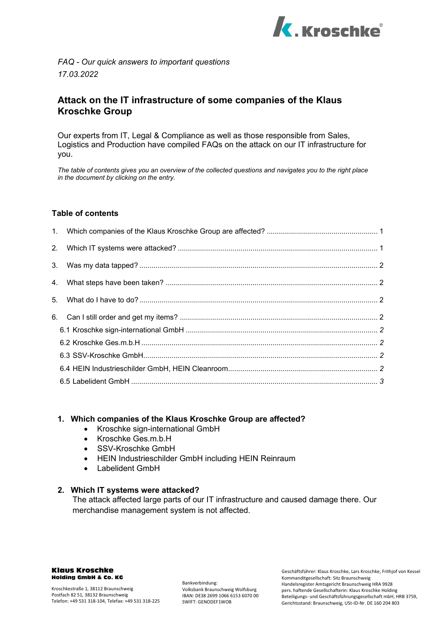

*FAQ - Our quick answers to important questions 17.03.2022*

# **Attack on the IT infrastructure of some companies of the Klaus Kroschke Group**

Our experts from IT, Legal & Compliance as well as those responsible from Sales, Logistics and Production have compiled FAQs on the attack on our IT infrastructure for you.

*The table of contents gives you an overview of the collected questions and navigates you to the right place in the document by clicking on the entry.*

#### **Table of contents**

#### <span id="page-0-0"></span>**1. Which companies of the Klaus Kroschke Group are affected?**

- Kroschke sign-international GmbH
- Kroschke Ges.m.b.H
- SSV-Kroschke GmbH
- HEIN Industrieschilder GmbH including HEIN Reinraum
- Labelident GmbH

#### <span id="page-0-1"></span>**2. Which IT systems were attacked?**

The attack affected large parts of our IT infrastructure and caused damage there. Our merchandise management system is not affected.

#### Klaus Kroschke Holding GmbH & Co. KG

Bankverbindung: Volksbank Braunschweig Wolfsburg IBAN: DE38 2699 1066 6153 6070 00 SWIFT: GENODEF1WOB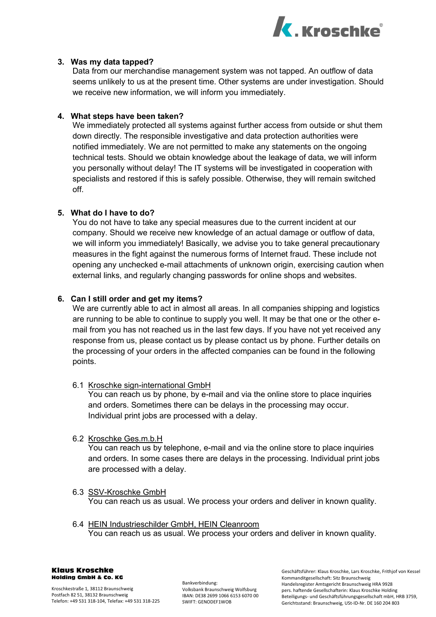

# <span id="page-1-0"></span>**3. Was my data tapped?**

Data from our merchandise management system was not tapped. An outflow of data seems unlikely to us at the present time. Other systems are under investigation. Should we receive new information, we will inform you immediately.

#### <span id="page-1-1"></span>**4. What steps have been taken?**

We immediately protected all systems against further access from outside or shut them down directly. The responsible investigative and data protection authorities were notified immediately. We are not permitted to make any statements on the ongoing technical tests. Should we obtain knowledge about the leakage of data, we will inform you personally without delay! The IT systems will be investigated in cooperation with specialists and restored if this is safely possible. Otherwise, they will remain switched off.

### <span id="page-1-2"></span>**5. What do I have to do?**

You do not have to take any special measures due to the current incident at our company. Should we receive new knowledge of an actual damage or outflow of data, we will inform you immediately! Basically, we advise you to take general precautionary measures in the fight against the numerous forms of Internet fraud. These include not opening any unchecked e-mail attachments of unknown origin, exercising caution when external links, and regularly changing passwords for online shops and websites.

#### <span id="page-1-3"></span>**6. Can I still order and get my items?**

We are currently able to act in almost all areas. In all companies shipping and logistics are running to be able to continue to supply you well. It may be that one or the other email from you has not reached us in the last few days. If you have not yet received any response from us, please contact us by please contact us by phone. Further details on the processing of your orders in the affected companies can be found in the following points.

#### <span id="page-1-4"></span>6.1 Kroschke sign-international GmbH

You can reach us by phone, by e-mail and via the online store to place inquiries and orders. Sometimes there can be delays in the processing may occur. Individual print jobs are processed with a delay.

# <span id="page-1-5"></span>6.2 Kroschke Ges.m.b.H

You can reach us by telephone, e-mail and via the online store to place inquiries and orders. In some cases there are delays in the processing. Individual print jobs are processed with a delay.

- <span id="page-1-6"></span>6.3 SSV-Kroschke GmbH You can reach us as usual. We process your orders and deliver in known quality.
- <span id="page-1-7"></span>6.4 HEIN Industrieschilder GmbH, HEIN Cleanroom You can reach us as usual. We process your orders and deliver in known quality.

Klaus Kroschke Holding GmbH & Co. KG

Bankverbindung: Volksbank Braunschweig Wolfsburg IBAN: DE38 2699 1066 6153 6070 00 SWIFT: GENODEF1WOB

Geschäftsführer: Klaus Kroschke, Lars Kroschke, Frithjof von Kessel Kommanditgesellschaft: Sitz Braunschweig Handelsregister Amtsgericht Braunschweig HRA 9928 pers. haftende Gesellschafterin: Klaus Kroschke Holding Beteiligungs- und Geschäftsführungsgesellschaft mbH, HRB 3759, Gerichtsstand: Braunschweig, USt-ID-Nr. DE 160 204 803